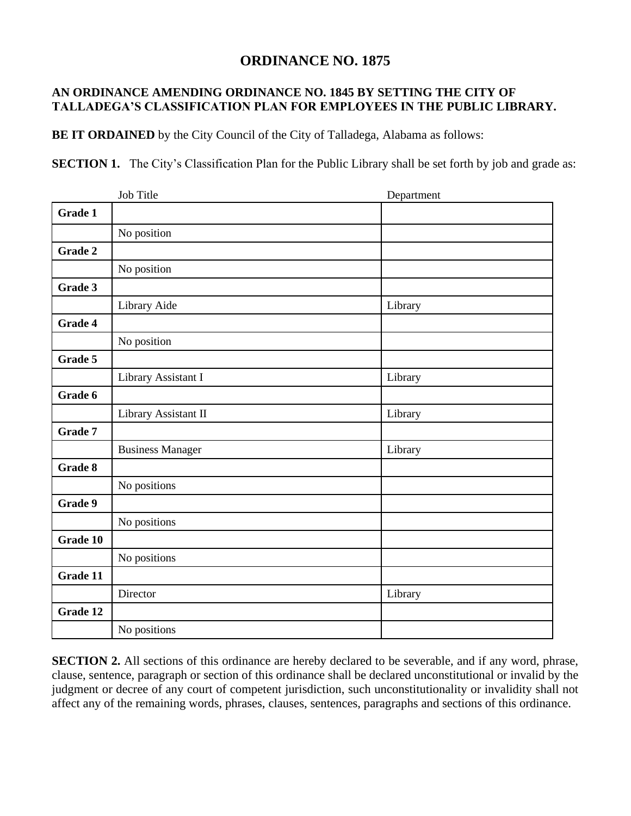## **ORDINANCE NO. 1875**

## **AN ORDINANCE AMENDING ORDINANCE NO. 1845 BY SETTING THE CITY OF TALLADEGA'S CLASSIFICATION PLAN FOR EMPLOYEES IN THE PUBLIC LIBRARY.**

**BE IT ORDAINED** by the City Council of the City of Talladega, Alabama as follows:

**SECTION 1.** The City's Classification Plan for the Public Library shall be set forth by job and grade as:

|                | Job Title               | Department |
|----------------|-------------------------|------------|
| Grade 1        |                         |            |
|                | No position             |            |
| <b>Grade 2</b> |                         |            |
|                | No position             |            |
| Grade 3        |                         |            |
|                | Library Aide            | Library    |
| Grade 4        |                         |            |
|                | No position             |            |
| Grade 5        |                         |            |
|                | Library Assistant I     | Library    |
| Grade 6        |                         |            |
|                | Library Assistant II    | Library    |
| Grade 7        |                         |            |
|                | <b>Business Manager</b> | Library    |
| Grade 8        |                         |            |
|                | No positions            |            |
| Grade 9        |                         |            |
|                | No positions            |            |
| Grade 10       |                         |            |
|                | No positions            |            |
| Grade 11       |                         |            |
|                | Director                | Library    |
| Grade 12       |                         |            |
|                | No positions            |            |

**SECTION 2.** All sections of this ordinance are hereby declared to be severable, and if any word, phrase, clause, sentence, paragraph or section of this ordinance shall be declared unconstitutional or invalid by the judgment or decree of any court of competent jurisdiction, such unconstitutionality or invalidity shall not affect any of the remaining words, phrases, clauses, sentences, paragraphs and sections of this ordinance.